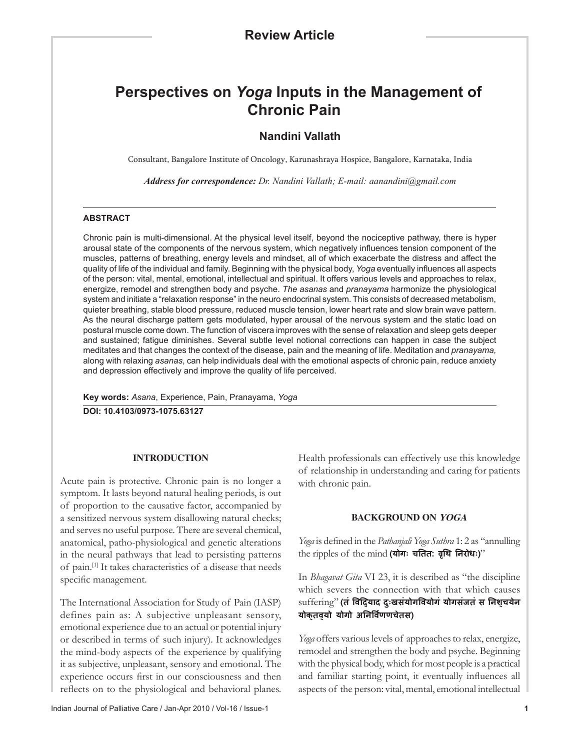# **Perspectives on** *Yoga* **Inputs in the Management of Chronic Pain**

# **Nandini Vallath**

Consultant, Bangalore Institute of Oncology, Karunashraya Hospice, Bangalore, Karnataka, India

*Address for correspondence: Dr. Nandini Vallath; E-mail: aanandini@gmail.com*

## **ABSTRACT**

Chronic pain is multi-dimensional. At the physical level itself, beyond the nociceptive pathway, there is hyper arousal state of the components of the nervous system, which negatively influences tension component of the muscles, patterns of breathing, energy levels and mindset, all of which exacerbate the distress and affect the quality of life of the individual and family. Beginning with the physical body, *Yoga* eventually influences all aspects of the person: vital, mental, emotional, intellectual and spiritual. It offers various levels and approaches to relax, energize, remodel and strengthen body and psyche. *The asanas* and *pranayama* harmonize the physiological system and initiate a "relaxation response" in the neuro endocrinal system. This consists of decreased metabolism, quieter breathing, stable blood pressure, reduced muscle tension, lower heart rate and slow brain wave pattern. As the neural discharge pattern gets modulated, hyper arousal of the nervous system and the static load on postural muscle come down. The function of viscera improves with the sense of relaxation and sleep gets deeper and sustained; fatigue diminishes. Several subtle level notional corrections can happen in case the subject meditates and that changes the context of the disease, pain and the meaning of life. Meditation and *pranayama,* along with relaxing *asanas*, can help individuals deal with the emotional aspects of chronic pain, reduce anxiety and depression effectively and improve the quality of life perceived.

**Key words:** *Asana*, Experience, Pain, Pranayama, *Yoga*

**DOI: 10.4103/0973-1075.63127**

#### **INTRODUCTION**

Acute pain is protective. Chronic pain is no longer a symptom. It lasts beyond natural healing periods, is out of proportion to the causative factor, accompanied by a sensitized nervous system disallowing natural checks; and serves no useful purpose. There are several chemical, anatomical, patho-physiological and genetic alterations in the neural pathways that lead to persisting patterns of pain.[1] It takes characteristics of a disease that needs specific management.

The International Association for Study of Pain (IASP) defines pain as: A subjective unpleasant sensory, emotional experience due to an actual or potential injury or described in terms of such injury). It acknowledges the mind-body aspects of the experience by qualifying it as subjective, unpleasant, sensory and emotional. The experience occurs first in our consciousness and then reflects on to the physiological and behavioral planes.

Health professionals can effectively use this knowledge of relationship in understanding and caring for patients with chronic pain.

#### **BACKGROUND ON YOGA**

*Yoga* is defined in the *Pathanjali Yoga Suthra* 1: 2 as "annulling the ripples of the mind **(योगः चितत: वृिथ िनरोधः)**"

In *Bhagavat Gita* VI 23, it is described as "the discipline which severs the connection with that which causes suffering" **(तं िविद्याद दुःखसंयोगिवयोगं योगसंजतं स िनश्चयेन योक्तव्यो योगो अिनिव�णणचेतस)** 

*Yoga* offers various levels of approaches to relax, energize, remodel and strengthen the body and psyche. Beginning with the physical body, which for most people is a practical and familiar starting point, it eventually influences all aspects of the person: vital, mental, emotional intellectual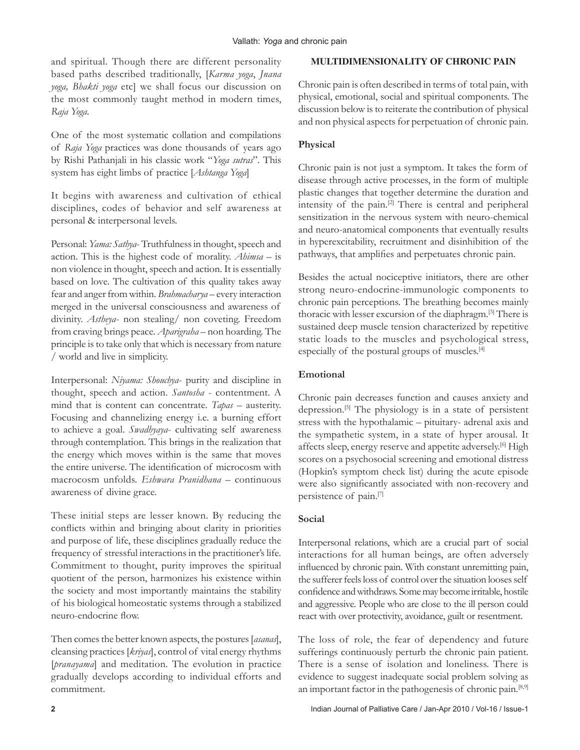and spiritual. Though there are different personality based paths described traditionally, [*Karma yoga*, *Jnana yoga, Bhakti yoga* etc] we shall focus our discussion on the most commonly taught method in modern times, *Raja Yoga*.

One of the most systematic collation and compilations of *Raja Yoga* practices was done thousands of years ago by Rishi Pathanjali in his classic work "*Yoga sutras*". This system has eight limbs of practice [*Ashtanga Yoga*]

It begins with awareness and cultivation of ethical disciplines, codes of behavior and self awareness at personal & interpersonal levels.

Personal: *Yama: Sathya*- Truthfulness in thought, speech and action. This is the highest code of morality. *Ahimsa* – is non violence in thought, speech and action. It is essentially based on love. The cultivation of this quality takes away fear and anger from within. *Brahmacharya* – every interaction merged in the universal consciousness and awareness of divinity. *Astheya*- non stealing/ non coveting. Freedom from craving brings peace. *Aparigraha* – non hoarding. The principle is to take only that which is necessary from nature / world and live in simplicity.

Interpersonal: *Niyama: Shouchya*- purity and discipline in thought, speech and action. *Santosha* - contentment. A mind that is content can concentrate. *Tapas* – austerity. Focusing and channelizing energy i.e. a burning effort to achieve a goal. *Swadhyaya*- cultivating self awareness through contemplation. This brings in the realization that the energy which moves within is the same that moves the entire universe. The identification of microcosm with macrocosm unfolds. *Eshwara Pranidhana* – continuous awareness of divine grace.

These initial steps are lesser known. By reducing the conflicts within and bringing about clarity in priorities and purpose of life, these disciplines gradually reduce the frequency of stressful interactions in the practitioner's life. Commitment to thought, purity improves the spiritual quotient of the person, harmonizes his existence within the society and most importantly maintains the stability of his biological homeostatic systems through a stabilized neuro-endocrine flow.

Then comes the better known aspects, the postures [*asanas*], cleansing practices [*kriyas*], control of vital energy rhythms [*pranayama*] and meditation. The evolution in practice gradually develops according to individual efforts and commitment.

## **MULTIDIMENSIONALITY OF CHRONIC PAIN**

Chronic pain is often described in terms of total pain, with physical, emotional, social and spiritual components. The discussion below is to reiterate the contribution of physical and non physical aspects for perpetuation of chronic pain.

# **Physical**

Chronic pain is not just a symptom. It takes the form of disease through active processes, in the form of multiple plastic changes that together determine the duration and intensity of the pain.[2] There is central and peripheral sensitization in the nervous system with neuro-chemical and neuro-anatomical components that eventually results in hyperexcitability, recruitment and disinhibition of the pathways, that amplifies and perpetuates chronic pain.

Besides the actual nociceptive initiators, there are other strong neuro-endocrine-immunologic components to chronic pain perceptions. The breathing becomes mainly thoracic with lesser excursion of the diaphragm.[3] There is sustained deep muscle tension characterized by repetitive static loads to the muscles and psychological stress, especially of the postural groups of muscles.[4]

# **Emotional**

Chronic pain decreases function and causes anxiety and depression.[5] The physiology is in a state of persistent stress with the hypothalamic – pituitary- adrenal axis and the sympathetic system, in a state of hyper arousal. It affects sleep, energy reserve and appetite adversely.<sup>[6]</sup> High scores on a psychosocial screening and emotional distress (Hopkin's symptom check list) during the acute episode were also significantly associated with non-recovery and persistence of pain.[7]

# **Social**

Interpersonal relations, which are a crucial part of social interactions for all human beings, are often adversely influenced by chronic pain. With constant unremitting pain, the sufferer feels loss of control over the situation looses self confidence and withdraws. Some may become irritable, hostile and aggressive. People who are close to the ill person could react with over protectivity, avoidance, guilt or resentment.

The loss of role, the fear of dependency and future sufferings continuously perturb the chronic pain patient. There is a sense of isolation and loneliness. There is evidence to suggest inadequate social problem solving as an important factor in the pathogenesis of chronic pain.<sup>[8,9]</sup>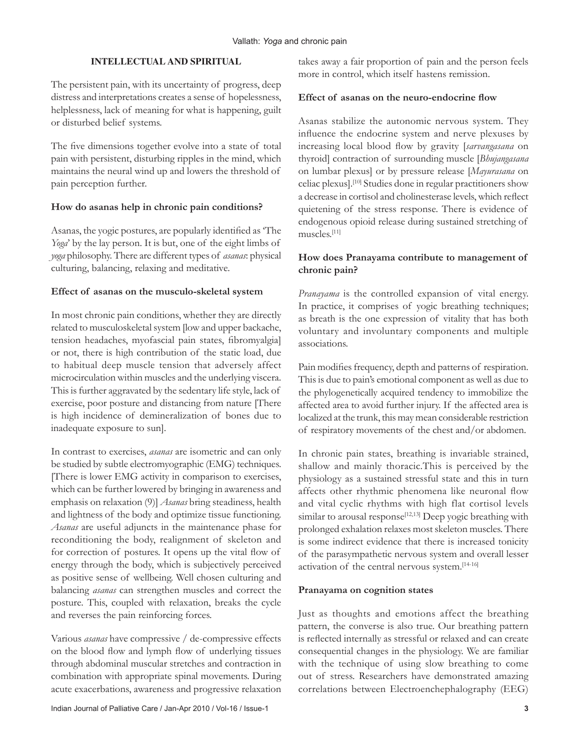## **INTELLECTUAL AND SPIRITUAL**

The persistent pain, with its uncertainty of progress, deep distress and interpretations creates a sense of hopelessness, helplessness, lack of meaning for what is happening, guilt or disturbed belief systems.

The five dimensions together evolve into a state of total pain with persistent, disturbing ripples in the mind, which maintains the neural wind up and lowers the threshold of pain perception further.

## **How do asanas help in chronic pain conditions?**

Asanas, the yogic postures, are popularly identified as 'The *Yoga*' by the lay person. It is but, one of the eight limbs of *yoga* philosophy. There are different types of *asanas*: physical culturing, balancing, relaxing and meditative.

## **Effect of asanas on the musculo-skeletal system**

In most chronic pain conditions, whether they are directly related to musculoskeletal system [low and upper backache, tension headaches, myofascial pain states, fibromyalgia] or not, there is high contribution of the static load, due to habitual deep muscle tension that adversely affect microcirculation within muscles and the underlying viscera. This is further aggravated by the sedentary life style, lack of exercise, poor posture and distancing from nature [There is high incidence of demineralization of bones due to inadequate exposure to sun].

In contrast to exercises, *asanas* are isometric and can only be studied by subtle electromyographic (EMG) techniques. [There is lower EMG activity in comparison to exercises, which can be further lowered by bringing in awareness and emphasis on relaxation (9)] *Asanas* bring steadiness, health and lightness of the body and optimize tissue functioning. *Asanas* are useful adjuncts in the maintenance phase for reconditioning the body, realignment of skeleton and for correction of postures. It opens up the vital flow of energy through the body, which is subjectively perceived as positive sense of wellbeing. Well chosen culturing and balancing *asanas* can strengthen muscles and correct the posture. This, coupled with relaxation, breaks the cycle and reverses the pain reinforcing forces.

Various *asanas* have compressive / de-compressive effects on the blood flow and lymph flow of underlying tissues through abdominal muscular stretches and contraction in combination with appropriate spinal movements. During acute exacerbations, awareness and progressive relaxation

takes away a fair proportion of pain and the person feels more in control, which itself hastens remission.

## **Effect of asanas on the neuro-endocrine flow**

Asanas stabilize the autonomic nervous system. They influence the endocrine system and nerve plexuses by increasing local blood flow by gravity [*sarvangasana* on thyroid] contraction of surrounding muscle [*Bhujangasana* on lumbar plexus] or by pressure release [*Mayurasana* on celiac plexus].[10] Studies done in regular practitioners show a decrease in cortisol and cholinesterase levels, which reflect quietening of the stress response. There is evidence of endogenous opioid release during sustained stretching of muscles.[11]

# **How does Pranayama contribute to management of chronic pain?**

*Pranayama* is the controlled expansion of vital energy. In practice, it comprises of yogic breathing techniques; as breath is the one expression of vitality that has both voluntary and involuntary components and multiple associations.

Pain modifies frequency, depth and patterns of respiration. This is due to pain's emotional component as well as due to the phylogenetically acquired tendency to immobilize the affected area to avoid further injury. If the affected area is localized at the trunk, this may mean considerable restriction of respiratory movements of the chest and/or abdomen.

In chronic pain states, breathing is invariable strained, shallow and mainly thoracic.This is perceived by the physiology as a sustained stressful state and this in turn affects other rhythmic phenomena like neuronal flow and vital cyclic rhythms with high flat cortisol levels similar to arousal response<sup>[12,13]</sup> Deep yogic breathing with prolonged exhalation relaxes most skeleton muscles. There is some indirect evidence that there is increased tonicity of the parasympathetic nervous system and overall lesser activation of the central nervous system.[14-16]

#### **Pranayama on cognition states**

Just as thoughts and emotions affect the breathing pattern, the converse is also true. Our breathing pattern is reflected internally as stressful or relaxed and can create consequential changes in the physiology. We are familiar with the technique of using slow breathing to come out of stress. Researchers have demonstrated amazing correlations between Electroenchephalography (EEG)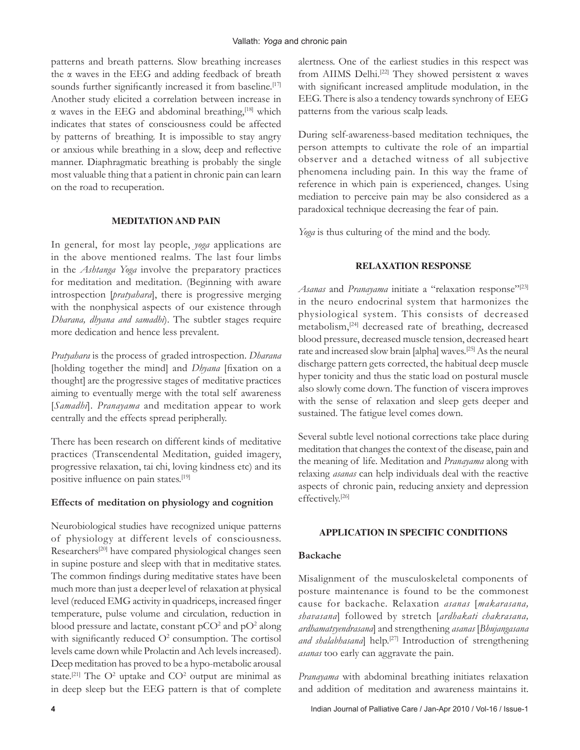patterns and breath patterns. Slow breathing increases the α waves in the EEG and adding feedback of breath sounds further significantly increased it from baseline.<sup>[17]</sup> Another study elicited a correlation between increase in  $\alpha$  waves in the EEG and abdominal breathing,<sup>[18]</sup> which indicates that states of consciousness could be affected by patterns of breathing. It is impossible to stay angry or anxious while breathing in a slow, deep and reflective manner. Diaphragmatic breathing is probably the single most valuable thing that a patient in chronic pain can learn on the road to recuperation.

#### **MEDITATION AND PAIN**

In general, for most lay people, *yoga* applications are in the above mentioned realms. The last four limbs in the *Ashtanga Yoga* involve the preparatory practices for meditation and meditation. (Beginning with aware introspection [*pratyahara*], there is progressive merging with the nonphysical aspects of our existence through *Dharana, dhyana and samadhi*). The subtler stages require more dedication and hence less prevalent.

*Pratyahara* is the process of graded introspection. *Dharana* [holding together the mind] and *Dhyana* [fixation on a thought] are the progressive stages of meditative practices aiming to eventually merge with the total self awareness [*Samadhi*]. *Pranayama* and meditation appear to work centrally and the effects spread peripherally.

There has been research on different kinds of meditative practices (Transcendental Meditation, guided imagery, progressive relaxation, tai chi, loving kindness etc) and its positive influence on pain states.[19]

## **Effects of meditation on physiology and cognition**

Neurobiological studies have recognized unique patterns of physiology at different levels of consciousness. Researchers<sup>[20]</sup> have compared physiological changes seen in supine posture and sleep with that in meditative states. The common findings during meditative states have been much more than just a deeper level of relaxation at physical level (reduced EMG activity in quadriceps, increased finger temperature, pulse volume and circulation, reduction in blood pressure and lactate, constant  $pCO^2$  and  $pO^2$  along with significantly reduced  $O<sup>2</sup>$  consumption. The cortisol levels came down while Prolactin and Ach levels increased). Deep meditation has proved to be a hypo-metabolic arousal state.<sup>[21]</sup> The  $O^2$  uptake and  $CO^2$  output are minimal as in deep sleep but the EEG pattern is that of complete

alertness. One of the earliest studies in this respect was from AIIMS Delhi.<sup>[22]</sup> They showed persistent  $\alpha$  waves with significant increased amplitude modulation, in the EEG. There is also a tendency towards synchrony of EEG patterns from the various scalp leads.

During self-awareness-based meditation techniques, the person attempts to cultivate the role of an impartial observer and a detached witness of all subjective phenomena including pain. In this way the frame of reference in which pain is experienced, changes. Using mediation to perceive pain may be also considered as a paradoxical technique decreasing the fear of pain.

*Yoga* is thus culturing of the mind and the body.

## **RELAXATION RESPONSE**

Asanas and *Pranayama* initiate a "relaxation response"<sup>[23]</sup> in the neuro endocrinal system that harmonizes the physiological system. This consists of decreased metabolism,[24] decreased rate of breathing, decreased blood pressure, decreased muscle tension, decreased heart rate and increased slow brain [alpha] waves.[25] As the neural discharge pattern gets corrected, the habitual deep muscle hyper tonicity and thus the static load on postural muscle also slowly come down. The function of viscera improves with the sense of relaxation and sleep gets deeper and sustained. The fatigue level comes down.

Several subtle level notional corrections take place during meditation that changes the context of the disease, pain and the meaning of life. Meditation and *Pranayama* along with relaxing *asanas* can help individuals deal with the reactive aspects of chronic pain, reducing anxiety and depression effectively.[26]

#### **APPLICATION IN SPECIFIC CONDITIONS**

#### **Backache**

Misalignment of the musculoskeletal components of posture maintenance is found to be the commonest cause for backache. Relaxation *asanas* [*makarasana, shavasana*] followed by stretch [*ardhakati chakrasana, ardhamatsyendrasana*] and strengthening *asanas* [*Bhujangasana*  and shalabhasana] help.<sup>[27]</sup> Introduction of strengthening *asanas* too early can aggravate the pain.

*Pranayama* with abdominal breathing initiates relaxation and addition of meditation and awareness maintains it.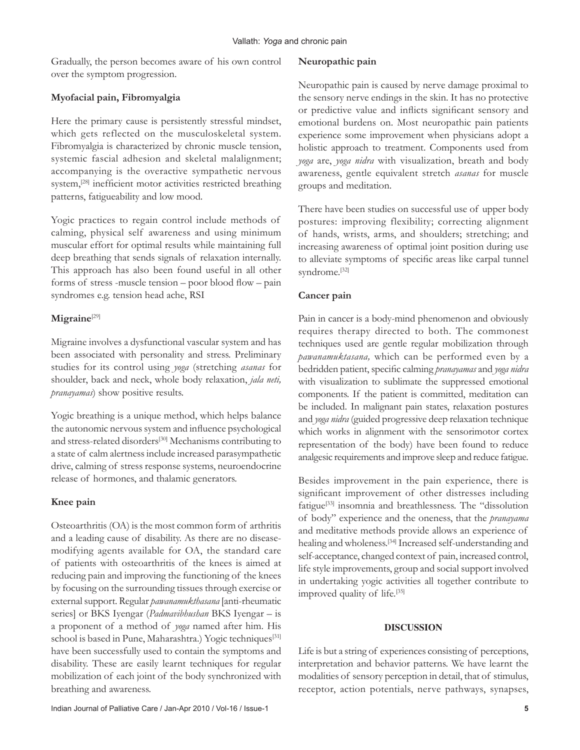Gradually, the person becomes aware of his own control over the symptom progression.

# **Myofacial pain, Fibromyalgia**

Here the primary cause is persistently stressful mindset, which gets reflected on the musculoskeletal system. Fibromyalgia is characterized by chronic muscle tension, systemic fascial adhesion and skeletal malalignment; accompanying is the overactive sympathetic nervous system,<sup>[28]</sup> inefficient motor activities restricted breathing patterns, fatigueability and low mood.

Yogic practices to regain control include methods of calming, physical self awareness and using minimum muscular effort for optimal results while maintaining full deep breathing that sends signals of relaxation internally. This approach has also been found useful in all other forms of stress -muscle tension – poor blood flow – pain syndromes e.g. tension head ache, RSI

# **Migraine**[29]

Migraine involves a dysfunctional vascular system and has been associated with personality and stress. Preliminary studies for its control using *yoga* (stretching *asanas* for shoulder, back and neck, whole body relaxation, *jala neti, pranayamas*) show positive results.

Yogic breathing is a unique method, which helps balance the autonomic nervous system and influence psychological and stress-related disorders<sup>[30]</sup> Mechanisms contributing to a state of calm alertness include increased parasympathetic drive, calming of stress response systems, neuroendocrine release of hormones, and thalamic generators.

# **Knee pain**

Osteoarthritis (OA) is the most common form of arthritis and a leading cause of disability. As there are no diseasemodifying agents available for OA, the standard care of patients with osteoarthritis of the knees is aimed at reducing pain and improving the functioning of the knees by focusing on the surrounding tissues through exercise or external support. Regular *pawanamukthasana* [anti-rheumatic series] or BKS Iyengar (*Padmavibhushan* BKS Iyengar – is a proponent of a method of *yoga* named after him. His school is based in Pune, Maharashtra.) Yogic techniques<sup>[31]</sup> have been successfully used to contain the symptoms and disability. These are easily learnt techniques for regular mobilization of each joint of the body synchronized with breathing and awareness.

## **Neuropathic pain**

Neuropathic pain is caused by nerve damage proximal to the sensory nerve endings in the skin. It has no protective or predictive value and inflicts significant sensory and emotional burdens on. Most neuropathic pain patients experience some improvement when physicians adopt a holistic approach to treatment. Components used from *yoga* are, *yoga nidra* with visualization, breath and body awareness, gentle equivalent stretch *asanas* for muscle groups and meditation.

There have been studies on successful use of upper body postures: improving flexibility; correcting alignment of hands, wrists, arms, and shoulders; stretching; and increasing awareness of optimal joint position during use to alleviate symptoms of specific areas like carpal tunnel syndrome.[32]

# **Cancer pain**

Pain in cancer is a body-mind phenomenon and obviously requires therapy directed to both. The commonest techniques used are gentle regular mobilization through *pawanamuktasana,* which can be performed even by a bedridden patient, specific calming *pranayamas* and *yoga nidra* with visualization to sublimate the suppressed emotional components. If the patient is committed, meditation can be included. In malignant pain states, relaxation postures and *yoga nidra* (guided progressive deep relaxation technique which works in alignment with the sensorimotor cortex representation of the body) have been found to reduce analgesic requirements and improve sleep and reduce fatigue.

Besides improvement in the pain experience, there is significant improvement of other distresses including fatigue[33] insomnia and breathlessness. The "dissolution of body" experience and the oneness, that the *pranayama* and meditative methods provide allows an experience of healing and wholeness.[34] Increased self-understanding and self-acceptance, changed context of pain, increased control, life style improvements, group and social support involved in undertaking yogic activities all together contribute to improved quality of life.<sup>[35]</sup>

# **DISCUSSION**

Life is but a string of experiences consisting of perceptions, interpretation and behavior patterns. We have learnt the modalities of sensory perception in detail, that of stimulus, receptor, action potentials, nerve pathways, synapses,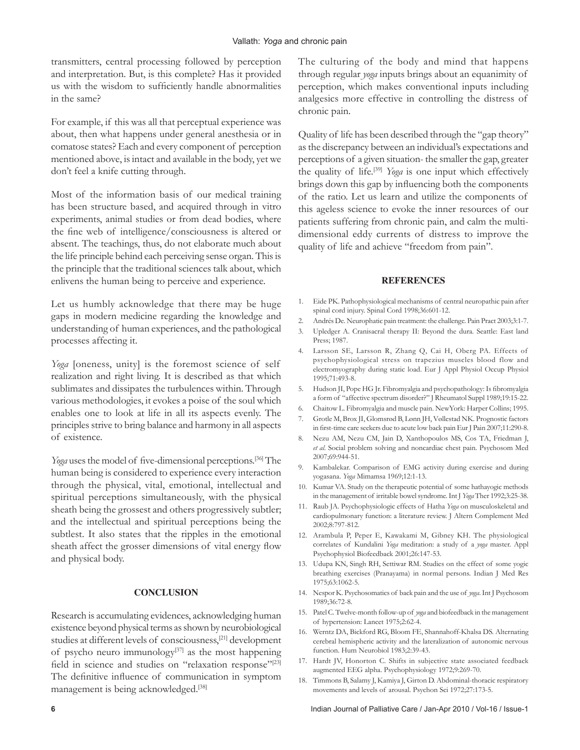transmitters, central processing followed by perception and interpretation. But, is this complete? Has it provided us with the wisdom to sufficiently handle abnormalities in the same?

For example, if this was all that perceptual experience was about, then what happens under general anesthesia or in comatose states? Each and every component of perception mentioned above, is intact and available in the body, yet we don't feel a knife cutting through.

Most of the information basis of our medical training has been structure based, and acquired through in vitro experiments, animal studies or from dead bodies, where the fine web of intelligence/consciousness is altered or absent. The teachings, thus, do not elaborate much about the life principle behind each perceiving sense organ. This is the principle that the traditional sciences talk about, which enlivens the human being to perceive and experience.

Let us humbly acknowledge that there may be huge gaps in modern medicine regarding the knowledge and understanding of human experiences, and the pathological processes affecting it.

*Yoga* [oneness, unity] is the foremost science of self realization and right living. It is described as that which sublimates and dissipates the turbulences within. Through various methodologies, it evokes a poise of the soul which enables one to look at life in all its aspects evenly. The principles strive to bring balance and harmony in all aspects of existence.

*Yoga* uses the model of five-dimensional perceptions.<sup>[36]</sup> The human being is considered to experience every interaction through the physical, vital, emotional, intellectual and spiritual perceptions simultaneously, with the physical sheath being the grossest and others progressively subtler; and the intellectual and spiritual perceptions being the subtlest. It also states that the ripples in the emotional sheath affect the grosser dimensions of vital energy flow and physical body.

#### **CONCLUSION**

Research is accumulating evidences, acknowledging human existence beyond physical terms as shown by neurobiological studies at different levels of consciousness,[21] development of psycho neuro immunology $[37]$  as the most happening field in science and studies on "relaxation response"<sup>[23]</sup> The definitive influence of communication in symptom management is being acknowledged.<sup>[38]</sup>

The culturing of the body and mind that happens through regular *yoga* inputs brings about an equanimity of perception, which makes conventional inputs including analgesics more effective in controlling the distress of chronic pain.

Quality of life has been described through the "gap theory" as the discrepancy between an individual's expectations and perceptions of a given situation- the smaller the gap, greater the quality of life.[39] *Yoga* is one input which effectively brings down this gap by influencing both the components of the ratio. Let us learn and utilize the components of this ageless science to evoke the inner resources of our patients suffering from chronic pain, and calm the multidimensional eddy currents of distress to improve the quality of life and achieve "freedom from pain".

#### **REFERENCES**

- 1. Eide PK. Pathophysiological mechanisms of central neuropathic pain after spinal cord injury. Spinal Cord 1998;36:601-12.
- 2. Andrés De. Neurophatic pain treatment: the challenge. Pain Pract 2003;3:1-7.
- 3. Upledger A. Cranisacral therapy II: Beyond the dura. Seattle: East land Press; 1987.
- 4. Larsson SE, Larsson R, Zhang Q, Cai H, Oberg PA. Effects of psychophysiological stress on trapezius muscles blood flow and electromyography during static load. Eur J Appl Physiol Occup Physiol 1995;71:493-8.
- 5. Hudson JI, Pope HG Jr. Fibromyalgia and psychopathology: Is fibromyalgia a form of "affective spectrum disorder?" J Rheumatol Suppl 1989;19:15-22.
- 6. Chaitow L. Fibromyalgia and muscle pain. NewYork: Harper Collins; 1995.
- 7. Grotle M, Brox JI, Glomsrød B, Lønn JH, Vøllestad NK. Prognostic factors in first-time care seekers due to acute low back pain Eur J Pain 2007;11:290-8.
- 8. Nezu AM, Nezu CM, Jain D, Xanthopoulos MS, Cos TA, Friedman J, *et al*. Social problem solving and noncardiac chest pain. Psychosom Med 2007;69:944-51.
- 9. Kambalekar. Comparison of EMG activity during exercise and during yogasana. *Yoga* Mimamsa 1969;12:1-13.
- 10. Kumar VA. Study on the therapeutic potential of some hathayogic methods in the management of irritable bowel syndrome. Int J *Yoga* Ther 1992;3:25-38.
- 11. Raub JA. Psychophysiologic effects of Hatha *Yoga* on musculoskeletal and cardiopulmonary function: a literature review. J Altern Complement Med 2002;8:797-812.
- 12. Arambula P, Peper E, Kawakami M, Gibney KH. The physiological correlates of Kundalini *Yoga* meditation: a study of a *yoga* master. Appl Psychophysiol Biofeedback 2001;26:147-53.
- 13. Udupa KN, Singh RH, Settiwar RM. Studies on the effect of some yogic breathing exercises (Pranayama) in normal persons. Indian J Med Res 1975;63:1062-5.
- 14. Nespor K. Psychosomatics of back pain and the use of *yoga*. Int J Psychosom 1989;36:72-8.
- 15. Patel C. Twelve-month follow-up of *yoga* and biofeedback in the management of hypertension: Lancet 1975;2:62-4.
- 16. Werntz DA, Bickford RG, Bloom FE, Shannahoff-Khalsa DS. Alternating cerebral hemispheric activity and the lateralization of autonomic nervous function. Hum Neurobiol 1983;2:39-43.
- 17. Hardt JV, Honorton C. Shifts in subjective state associated feedback augmented EEG alpha. Psychophysiology 1972;9:269-70.
- 18. Timmons B, Salamy J, Kamiya J, Girton D. Abdominal-thoracic respiratory movements and levels of arousal. Psychon Sci 1972;27:173-5.